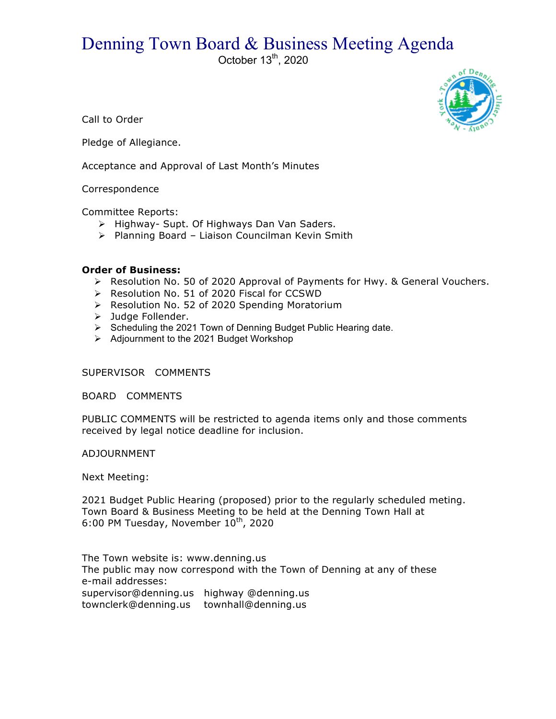# Denning Town Board & Business Meeting Agenda

October 13th, 2020



Call to Order

Pledge of Allegiance.

Acceptance and Approval of Last Month's Minutes

# Correspondence

Committee Reports:

- > Highway- Supt. Of Highways Dan Van Saders.
- > Planning Board Liaison Councilman Kevin Smith

# **Order of Business:**

- $\triangleright$  Resolution No. 50 of 2020 Approval of Payments for Hwy. & General Vouchers.
- ▶ Resolution No. 51 of 2020 Fiscal for CCSWD
- ▶ Resolution No. 52 of 2020 Spending Moratorium
- > Judge Follender.
- $\triangleright$  Scheduling the 2021 Town of Denning Budget Public Hearing date.
- $\triangleright$  Adjournment to the 2021 Budget Workshop

# SUPERVISOR COMMENTS

# BOARD COMMENTS

PUBLIC COMMENTS will be restricted to agenda items only and those comments received by legal notice deadline for inclusion.

# ADJOURNMENT

Next Meeting:

2021 Budget Public Hearing (proposed) prior to the regularly scheduled meting. Town Board & Business Meeting to be held at the Denning Town Hall at 6:00 PM Tuesday, November  $10^{th}$ , 2020

The Town website is: www.denning.us The public may now correspond with the Town of Denning at any of these e-mail addresses: supervisor@denning.us highway @denning.us townclerk@denning.us townhall@denning.us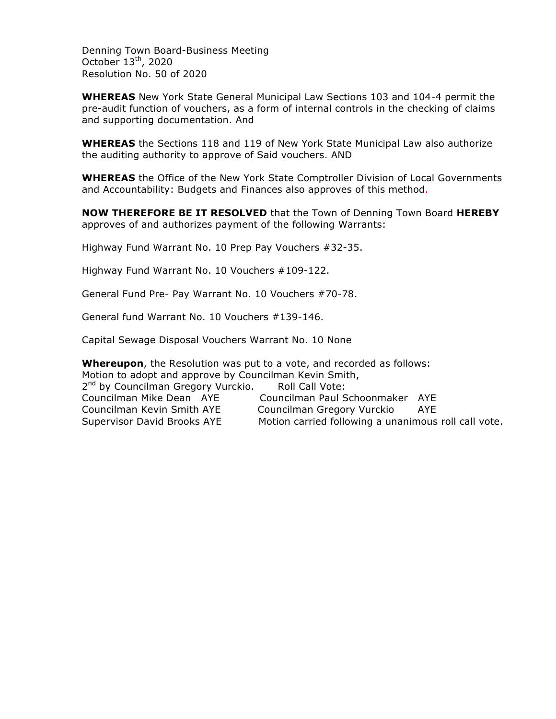Denning Town Board-Business Meeting October  $13^{th}$ , 2020 Resolution No. 50 of 2020

**WHEREAS** New York State General Municipal Law Sections 103 and 104-4 permit the pre-audit function of vouchers, as a form of internal controls in the checking of claims and supporting documentation. And

**WHEREAS** the Sections 118 and 119 of New York State Municipal Law also authorize the auditing authority to approve of Said vouchers. AND

**WHEREAS** the Office of the New York State Comptroller Division of Local Governments and Accountability: Budgets and Finances also approves of this method.

**NOW THEREFORE BE IT RESOLVED** that the Town of Denning Town Board **HEREBY** approves of and authorizes payment of the following Warrants:

Highway Fund Warrant No. 10 Prep Pay Vouchers #32-35.

Highway Fund Warrant No. 10 Vouchers #109-122.

General Fund Pre- Pay Warrant No. 10 Vouchers #70-78.

General fund Warrant No. 10 Vouchers #139-146.

Capital Sewage Disposal Vouchers Warrant No. 10 None

**Whereupon**, the Resolution was put to a vote, and recorded as follows: Motion to adopt and approve by Councilman Kevin Smith, 2<sup>nd</sup> by Councilman Gregory Vurckio. Roll Call Vote: Councilman Mike Dean AYE Councilman Paul Schoonmaker AYE Councilman Kevin Smith AYE Councilman Gregory Vurckio AYE Supervisor David Brooks AYE Motion carried following a unanimous roll call vote.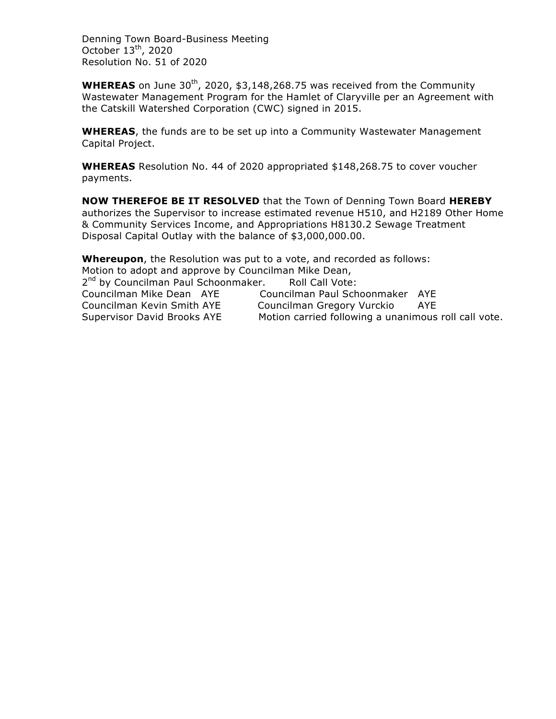Denning Town Board-Business Meeting October  $13<sup>th</sup>$ , 2020 Resolution No. 51 of 2020

**WHEREAS** on June 30<sup>th</sup>, 2020, \$3,148,268.75 was received from the Community Wastewater Management Program for the Hamlet of Claryville per an Agreement with the Catskill Watershed Corporation (CWC) signed in 2015.

**WHEREAS**, the funds are to be set up into a Community Wastewater Management Capital Project.

**WHEREAS** Resolution No. 44 of 2020 appropriated \$148,268.75 to cover voucher payments.

**NOW THEREFOE BE IT RESOLVED** that the Town of Denning Town Board **HEREBY** authorizes the Supervisor to increase estimated revenue H510, and H2189 Other Home & Community Services Income, and Appropriations H8130.2 Sewage Treatment Disposal Capital Outlay with the balance of \$3,000,000.00.

**Whereupon**, the Resolution was put to a vote, and recorded as follows: Motion to adopt and approve by Councilman Mike Dean, 2<sup>nd</sup> by Councilman Paul Schoonmaker. Roll Call Vote: Councilman Mike Dean AYE Councilman Paul Schoonmaker AYE Councilman Kevin Smith AYE Councilman Gregory Vurckio AYE Supervisor David Brooks AYE Motion carried following a unanimous roll call vote.